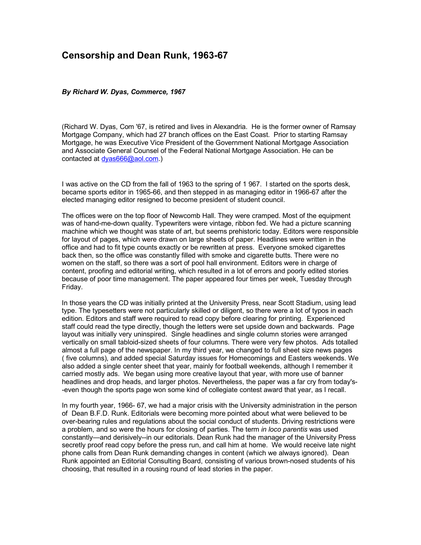## **Censorship and Dean Runk, 1963-67**

## *By Richard W. Dyas, Commerce, 1967*

(Richard W. Dyas, Com '67, is retired and lives in Alexandria. He is the former owner of Ramsay Mortgage Company, which had 27 branch offices on the East Coast. Prior to starting Ramsay Mortgage, he was Executive Vice President of the Government National Mortgage Association and Associate General Counsel of the Federal National Mortgage Association. He can be contacted at [dyas666@aol.com.](mailto:dyas666@aol.com))

I was active on the CD from the fall of 1963 to the spring of 1 967. I started on the sports desk, became sports editor in 1965-66, and then stepped in as managing editor in 1966-67 after the elected managing editor resigned to become president of student council.

The offices were on the top floor of Newcomb Hall. They were cramped. Most of the equipment was of hand-me-down quality. Typewriters were vintage, ribbon fed. We had a picture scanning machine which we thought was state of art, but seems prehistoric today. Editors were responsible for layout of pages, which were drawn on large sheets of paper. Headlines were written in the office and had to fit type counts exactly or be rewritten at press. Everyone smoked cigarettes back then, so the office was constantly filled with smoke and cigarette butts. There were no women on the staff, so there was a sort of pool hall environment. Editors were in charge of content, proofing and editorial writing, which resulted in a lot of errors and poorly edited stories because of poor time management. The paper appeared four times per week, Tuesday through Friday.

In those years the CD was initially printed at the University Press, near Scott Stadium, using lead type. The typesetters were not particularly skilled or diligent, so there were a lot of typos in each edition. Editors and staff were required to read copy before clearing for printing. Experienced staff could read the type directly, though the letters were set upside down and backwards. Page layout was initially very uninspired. Single headlines and single column stories were arranged vertically on small tabloid-sized sheets of four columns. There were very few photos. Ads totalled almost a full page of the newspaper. In my third year, we changed to full sheet size news pages ( five columns), and added special Saturday issues for Homecomings and Easters weekends. We also added a single center sheet that year, mainly for football weekends, although I remember it carried mostly ads. We began using more creative layout that year, with more use of banner headlines and drop heads, and larger photos. Nevertheless, the paper was a far cry from today's- -even though the sports page won some kind of collegiate contest award that year, as I recall.

In my fourth year, 1966- 67, we had a major crisis with the University administration in the person of Dean B.F.D. Runk. Editorials were becoming more pointed about what were believed to be over-bearing rules and regulations about the social conduct of students. Driving restrictions were a problem, and so were the hours for closing of parties. The term *in loco parentis* was used constantly—and derisively--in our editorials. Dean Runk had the manager of the University Press secretly proof read copy before the press run, and call him at home. We would receive late night phone calls from Dean Runk demanding changes in content (which we always ignored). Dean Runk appointed an Editorial Consulting Board, consisting of various brown-nosed students of his choosing, that resulted in a rousing round of lead stories in the paper.